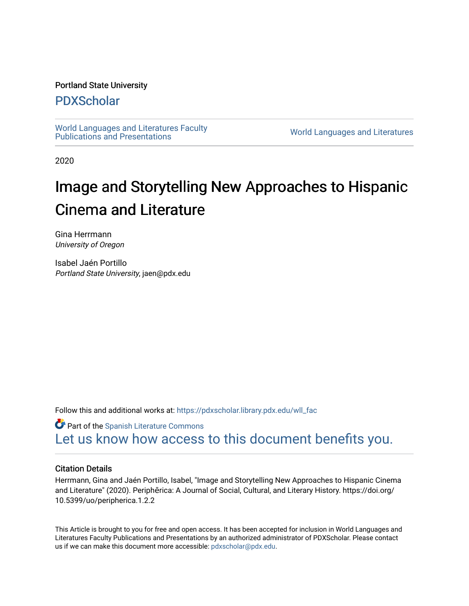## Portland State University

# [PDXScholar](https://pdxscholar.library.pdx.edu/)

[World Languages and Literatures Faculty](https://pdxscholar.library.pdx.edu/wll_fac)  world Languages and Literatures Faculty<br>Publications and Presentations

2020

# Image and Storytelling New Approaches to Hispanic Cinema and Literature

Gina Herrmann University of Oregon

Isabel Jaén Portillo Portland State University, jaen@pdx.edu

Follow this and additional works at: [https://pdxscholar.library.pdx.edu/wll\\_fac](https://pdxscholar.library.pdx.edu/wll_fac?utm_source=pdxscholar.library.pdx.edu%2Fwll_fac%2F144&utm_medium=PDF&utm_campaign=PDFCoverPages)

**Part of the [Spanish Literature Commons](http://network.bepress.com/hgg/discipline/550?utm_source=pdxscholar.library.pdx.edu%2Fwll_fac%2F144&utm_medium=PDF&utm_campaign=PDFCoverPages)** [Let us know how access to this document benefits you.](http://library.pdx.edu/services/pdxscholar-services/pdxscholar-feedback/?ref=https://pdxscholar.library.pdx.edu/wll_fac/144) 

### Citation Details

Herrmann, Gina and Jaén Portillo, Isabel, "Image and Storytelling New Approaches to Hispanic Cinema and Literature" (2020). Periphērica: A Journal of Social, Cultural, and Literary History. https://doi.org/ 10.5399/uo/peripherica.1.2.2

This Article is brought to you for free and open access. It has been accepted for inclusion in World Languages and Literatures Faculty Publications and Presentations by an authorized administrator of PDXScholar. Please contact us if we can make this document more accessible: [pdxscholar@pdx.edu.](mailto:pdxscholar@pdx.edu)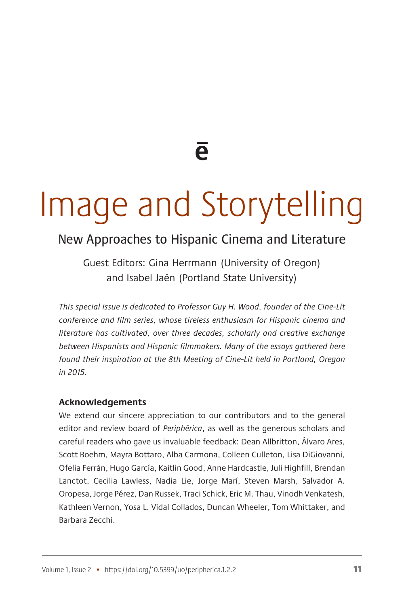**e**

# Image and Storytelling

# New Approaches to Hispanic Cinema and Literature

Guest Editors: Gina Herrmann (University of Oregon) and Isabel Jaén (Portland State University)

*This special issue is dedicated to Professor Guy H. Wood, founder of the Cine-Lit conference and film series, whose tireless enthusiasm for Hispanic cinema and literature has cultivated, over three decades, scholarly and creative exchange between Hispanists and Hispanic filmmakers. Many of the essays gathered here found their inspiration at the 8th Meeting of Cine-Lit held in Portland, Oregon in 2015.*

#### **Acknowledgements**

We extend our sincere appreciation to our contributors and to the general editor and review board of *Periphērica*, as well as the generous scholars and careful readers who gave us invaluable feedback: Dean Allbritton, Álvaro Ares, Scott Boehm, Mayra Bottaro, Alba Carmona, Colleen Culleton, Lisa DiGiovanni, Ofelia Ferrán, Hugo García, Kaitlin Good, Anne Hardcastle, Juli Highfill, Brendan Lanctot, Cecilia Lawless, Nadia Lie, Jorge Marí, Steven Marsh, Salvador A. Oropesa, Jorge Pérez, Dan Russek, Traci Schick, Eric M. Thau, Vinodh Venkatesh, Kathleen Vernon, Yosa L. Vidal Collados, Duncan Wheeler, Tom Whittaker, and Barbara Zecchi.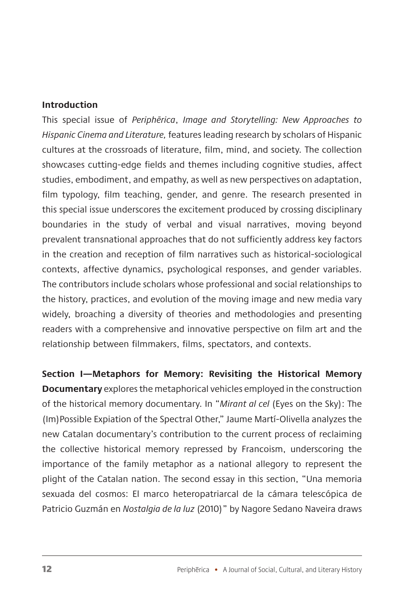### **Introduction**

This special issue of *Periphērica*, *Image and Storytelling: New Approaches to Hispanic Cinema and Literature,* features leading research by scholars of Hispanic cultures at the crossroads of literature, film, mind, and society. The collection showcases cutting-edge fields and themes including cognitive studies, affect studies, embodiment, and empathy, as well as new perspectives on adaptation, film typology, film teaching, gender, and genre. The research presented in this special issue underscores the excitement produced by crossing disciplinary boundaries in the study of verbal and visual narratives, moving beyond prevalent transnational approaches that do not sufficiently address key factors in the creation and reception of film narratives such as historical-sociological contexts, affective dynamics, psychological responses, and gender variables. The contributors include scholars whose professional and social relationships to the history, practices, and evolution of the moving image and new media vary widely, broaching a diversity of theories and methodologies and presenting readers with a comprehensive and innovative perspective on film art and the relationship between filmmakers, films, spectators, and contexts.

**Section I—Metaphors for Memory: Revisiting the Historical Memory Documentary** explores the metaphorical vehicles employed in the construction of the historical memory documentary. In "*Mirant al cel* (Eyes on the Sky): The (Im)Possible Expiation of the Spectral Other," Jaume Martí-Olivella analyzes the new Catalan documentary's contribution to the current process of reclaiming the collective historical memory repressed by Francoism, underscoring the importance of the family metaphor as a national allegory to represent the plight of the Catalan nation. The second essay in this section, "Una memoria sexuada del cosmos: El marco heteropatriarcal de la cámara telescópica de Patricio Guzmán en *Nostalgia de la luz* (2010)" by Nagore Sedano Naveira draws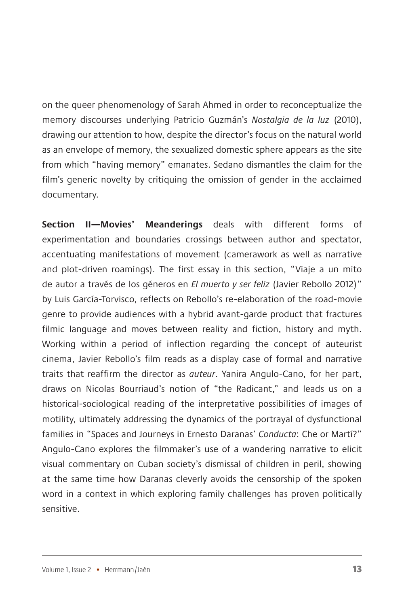on the queer phenomenology of Sarah Ahmed in order to reconceptualize the memory discourses underlying Patricio Guzmán's *Nostalgia de la luz* (2010), drawing our attention to how, despite the director's focus on the natural world as an envelope of memory, the sexualized domestic sphere appears as the site from which "having memory" emanates. Sedano dismantles the claim for the film's generic novelty by critiquing the omission of gender in the acclaimed documentary.

**Section II—Movies' Meanderings** deals with different forms of experimentation and boundaries crossings between author and spectator, accentuating manifestations of movement (camerawork as well as narrative and plot-driven roamings). The first essay in this section, "Viaje a un mito de autor a través de los géneros en *El muerto y ser feliz* (Javier Rebollo 2012)" by Luis García-Torvisco, reflects on Rebollo's re-elaboration of the road-movie genre to provide audiences with a hybrid avant-garde product that fractures filmic language and moves between reality and fiction, history and myth. Working within a period of inflection regarding the concept of auteurist cinema, Javier Rebollo's film reads as a display case of formal and narrative traits that reaffirm the director as *auteur*. Yanira Angulo-Cano, for her part, draws on Nicolas Bourriaud's notion of "the Radicant," and leads us on a historical-sociological reading of the interpretative possibilities of images of motility, ultimately addressing the dynamics of the portrayal of dysfunctional families in "Spaces and Journeys in Ernesto Daranas' *Conducta*: Che or Martí?" Angulo-Cano explores the filmmaker's use of a wandering narrative to elicit visual commentary on Cuban society's dismissal of children in peril, showing at the same time how Daranas cleverly avoids the censorship of the spoken word in a context in which exploring family challenges has proven politically sensitive.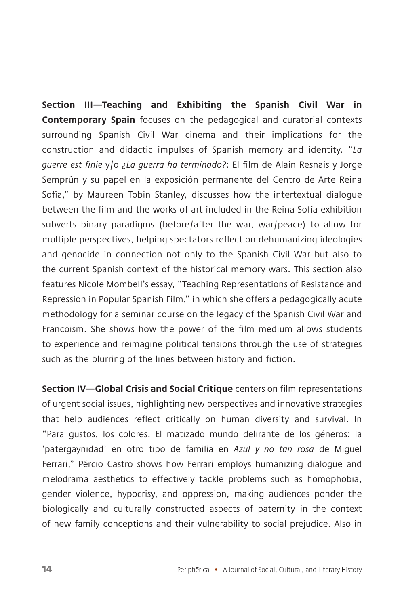**Section III—Teaching and Exhibiting the Spanish Civil War in Contemporary Spain** focuses on the pedagogical and curatorial contexts surrounding Spanish Civil War cinema and their implications for the construction and didactic impulses of Spanish memory and identity. "*La guerre est finie* y/o *¿La guerra ha terminado?*: El film de Alain Resnais y Jorge Semprún y su papel en la exposición permanente del Centro de Arte Reina Sofía," by Maureen Tobin Stanley, discusses how the intertextual dialogue between the film and the works of art included in the Reina Sofía exhibition subverts binary paradigms (before/after the war, war/peace) to allow for multiple perspectives, helping spectators reflect on dehumanizing ideologies and genocide in connection not only to the Spanish Civil War but also to the current Spanish context of the historical memory wars. This section also features Nicole Mombell's essay, "Teaching Representations of Resistance and Repression in Popular Spanish Film," in which she offers a pedagogically acute methodology for a seminar course on the legacy of the Spanish Civil War and Francoism. She shows how the power of the film medium allows students to experience and reimagine political tensions through the use of strategies such as the blurring of the lines between history and fiction.

**Section IV—Global Crisis and Social Critique** centers on film representations of urgent social issues, highlighting new perspectives and innovative strategies that help audiences reflect critically on human diversity and survival. In "Para gustos, los colores. El matizado mundo delirante de los géneros: la 'patergaynidad' en otro tipo de familia en *Azul y no tan rosa* de Miguel Ferrari," Pércio Castro shows how Ferrari employs humanizing dialogue and melodrama aesthetics to effectively tackle problems such as homophobia, gender violence, hypocrisy, and oppression, making audiences ponder the biologically and culturally constructed aspects of paternity in the context of new family conceptions and their vulnerability to social prejudice. Also in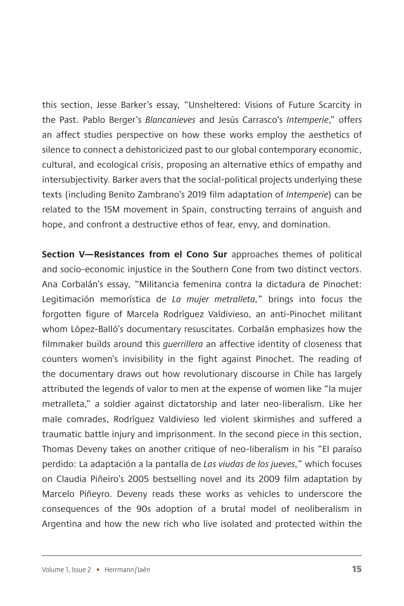this section, Jesse Barker's essay, "Unsheltered: Visions of Future Scarcity in the Past. Pablo Berger's *Blancanieves* and Jesús Carrasco's *Intemperie*," offers an affect studies perspective on how these works employ the aesthetics of silence to connect a dehistoricized past to our global contemporary economic, cultural, and ecological crisis, proposing an alternative ethics of empathy and intersubjectivity. Barker avers that the social-political projects underlying these texts (including Benito Zambrano's 2019 film adaptation of *Intemperie*) can be related to the 15M movement in Spain, constructing terrains of anguish and hope, and confront a destructive ethos of fear, envy, and domination.

**Section V—Resistances from el Cono Sur** approaches themes of political and socio-economic injustice in the Southern Cone from two distinct vectors. Ana Corbalán's essay, "Militancia femenina contra la dictadura de Pinochet: Legitimación memorística de *La mujer metralleta,*" brings into focus the forgotten figure of Marcela Rodríguez Valdivieso, an anti-Pinochet militant whom López-Balló's documentary resuscitates. Corbalán emphasizes how the filmmaker builds around this *guerrillera* an affective identity of closeness that counters women's invisibility in the fight against Pinochet. The reading of the documentary draws out how revolutionary discourse in Chile has largely attributed the legends of valor to men at the expense of women like "la mujer metralleta," a soldier against dictatorship and later neo-liberalism. Like her male comrades, Rodríguez Valdivieso led violent skirmishes and suffered a traumatic battle injury and imprisonment. In the second piece in this section, Thomas Deveny takes on another critique of neo-liberalism in his "El paraíso perdido: La adaptación a la pantalla de *Las viudas de los jueves,*" which focuses on Claudia Piñeiro's 2005 bestselling novel and its 2009 film adaptation by Marcelo Piñeyro. Deveny reads these works as vehicles to underscore the consequences of the 90s adoption of a brutal model of neoliberalism in Argentina and how the new rich who live isolated and protected within the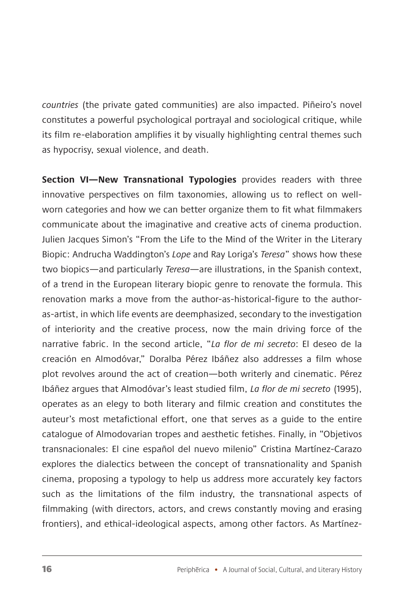*countries* (the private gated communities) are also impacted. Piñeiro's novel constitutes a powerful psychological portrayal and sociological critique, while its film re-elaboration amplifies it by visually highlighting central themes such as hypocrisy, sexual violence, and death.

**Section VI—New Transnational Typologies** provides readers with three innovative perspectives on film taxonomies, allowing us to reflect on wellworn categories and how we can better organize them to fit what filmmakers communicate about the imaginative and creative acts of cinema production. Julien Jacques Simon's "From the Life to the Mind of the Writer in the Literary Biopic: Andrucha Waddington's *Lope* and Ray Loriga's *Teresa*" shows how these two biopics—and particularly *Teresa*—are illustrations, in the Spanish context, of a trend in the European literary biopic genre to renovate the formula. This renovation marks a move from the author-as-historical-figure to the authoras-artist, in which life events are deemphasized, secondary to the investigation of interiority and the creative process, now the main driving force of the narrative fabric. In the second article, "*La flor de mi secreto*: El deseo de la creación en Almodóvar," Doralba Pérez Ibáñez also addresses a film whose plot revolves around the act of creation—both writerly and cinematic. Pérez Ibáñez argues that Almodóvar's least studied film, *La flor de mi secreto* (1995), operates as an elegy to both literary and filmic creation and constitutes the auteur's most metafictional effort, one that serves as a guide to the entire catalogue of Almodovarian tropes and aesthetic fetishes. Finally, in "Objetivos transnacionales: El cine español del nuevo milenio" Cristina Martínez-Carazo explores the dialectics between the concept of transnationality and Spanish cinema, proposing a typology to help us address more accurately key factors such as the limitations of the film industry, the transnational aspects of filmmaking (with directors, actors, and crews constantly moving and erasing frontiers), and ethical-ideological aspects, among other factors. As Martínez